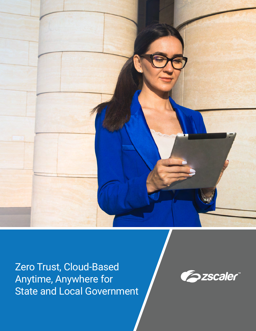

Zero Trust, Cloud-Based Anytime, Anywhere for State and Local Government

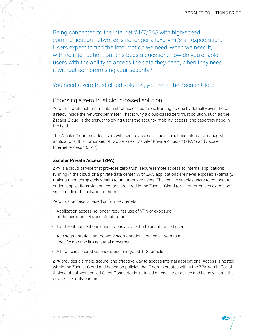Being connected to the internet 24/7/365 with high-speed communication networks is no longer a luxury—it's an expectation. Users expect to find the information we need, when we need it, with no interruption. But this begs a question: How do you enable users with the ability to access the data they need, when they need it without compromising your security?

# You need a zero trust cloud solution, you need the Zscaler Cloud.

# Choosing a zero trust cloud-based solution

Zero trust architectures maintain strict access controls, trusting no one by default—even those already inside the network perimeter. That is why a cloud-based zero trust solution, such as the Zscaler Cloud, is the answer to giving users the security, mobility, access, and ease they need in the field.

The Zscaler Cloud provides users with secure access to the internet and internally managed applications. It is comprised of two services—Zscaler Private Access™ (ZPA™) and Zscaler Internet Access™ (ZIA™).

### **Zscaler Private Access (ZPA)**

ZPA is a cloud service that provides zero trust, secure remote access to internal applications running in the cloud, or a private data center. With ZPA, applications are never exposed externally, making them completely stealth to unauthorized users. The service enables users to connect to critical applications via connections brokered in the Zscaler Cloud (or an on-premises extension) vs. extending the network to them.

Zero trust access is based on four key tenets:

- Application access no longer requires use of VPN or exposure of the backend network infrastructure.
- Inside-out connections ensure apps are stealth to unauthorized users.
- App segmentation, not network segmentation, connects users to a specific app and limits lateral movement.
- All traffic is secured via end-to-end encrypted TLS tunnels.

ZPA provides a simple, secure, and effective way to access internal applications. Access is hosted within the Zscaler Cloud and based on policies the IT admin creates within the ZPA Admin Portal. A piece of software called Client Connector is installed on each user device and helps validate the device's security posture.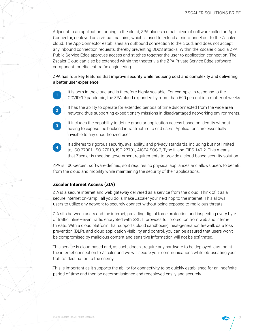Adjacent to an application running in the cloud, ZPA places a small piece of software called an App Connector, deployed as a virtual machine, which is used to extend a microtunnel out to the Zscaler cloud. The App Connector establishes an outbound connection to the cloud, and does not accept any inbound connection requests, thereby preventing DDoS attacks. Within the Zscaler cloud, a ZPA Public Service Edge approves access and stitches together the user-to-application connection. The Zscaler Cloud can also be extended within the theater via the ZPA Private Service Edge software component for efficient traffic engineering.

ZPA has four key features that improve security while reducing cost and complexity and delivering a better user experience.

**1**

It is born in the cloud and is therefore highly scalable. For example, in response to the COVID-19 pandemic, the ZPA cloud expanded by more than 600 percent in a matter of weeks.



**3**

It has the ability to operate for extended periods of time disconnected from the wide area network, thus supporting expeditionary missions in disadvantaged networking environments.

It includes the capability to define granular application access based on identity without having to expose the backend infrastructure to end users. Applications are essentially invisible to any unauthorized user.



It adheres to rigorous security, availability, and privacy standards, including but not limited to, ISO 27001, ISO 27018, ISO 27701, AICPA SOC 2, Type II, and FIPS 140-2. This means that Zscaler is meeting government requirements to provide a cloud-based security solution.

ZPA is 100-percent software-defined, so it requires no physical appliances and allows users to benefit from the cloud and mobility while maintaining the security of their applications.

### **Zscaler Internet Access (ZIA)**

ZIA is a secure internet and web gateway delivered as a service from the cloud. Think of it as a secure internet on-ramp—all you do is make Zscaler your next hop to the internet. This allows users to utilize any network to securely connect without being exposed to malicious threats.

ZIA sits between users and the internet, providing digital force protection and inspecting every byte of traffic inline—even traffic encrypted with SSL. It provides full protection from web and internet threats. With a cloud platform that supports cloud sandboxing, next-generation firewall, data loss prevention (DLP), and cloud application visibility and control, you can be assured that users won't be compromised by malicious content and sensitive information will not be exfiltrated.

This service is cloud-based and, as such, doesn't require any hardware to be deployed. Just point the internet connection to Zscaler and we will secure your communications while obfuscating your traffic's destination to the enemy.

This is important as it supports the ability for connectivity to be quickly established for an indefinite period of time and then be decommissioned and redeployed easily and securely.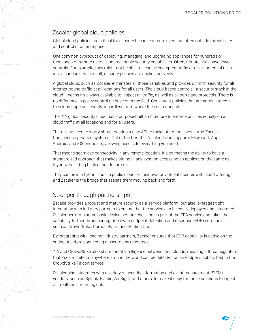## Zscaler global cloud policies

Global cloud policies are critical for security because remote users are often outside the visibility and control of an enterprise.

One common byproduct of deploying, managing, and upgrading appliances for hundreds or thousands of remote users is unpredictable security capabilities. Often, remote sites have fewer controls. For example, they might not be able to scan all encrypted traffic or divert potential risks into a sandbox. As a result, security policies are applied unevenly.

A global cloud, such as Zscaler, eliminates all those variables and provides uniform security for all internet-bound traffic at all locations for all users. The cloud-based controls—a security stack in the cloud—means it's always available to inspect all traffic, as well as all ports and protocols. There is no difference in policy control on base or in the field. Consistent policies that are administered in the cloud improve security, regardless from where the user connects.

The ZIA global security cloud has a purpose-built architecture to enforce policies equally on all cloud traffic at all locations and for all users.

There is no need to worry about creating a new API to make other tools work. And Zscaler transcends operation systems. Out of the box, the Zscaler Cloud supports Microsoft, Apple, Android, and iOS endpoints, allowing access to everything you need.

That means seamless connectivity in any remote location. It also means the ability to have a standardized approach that makes sitting in any location accessing an application the same as if you were sitting back at headquarters.

They can be in a hybrid cloud, a public cloud, or their own private data center with cloud offerings, and Zscaler is the bridge that assists them moving back and forth.

# Stronger through partnerships

Zscaler provides a robust and mature security as-a-service platform, but also leverages tight integration with industry partners to ensure that the service can be easily deployed and integrated. Zscaler performs some basic device posture checking as part of the ZPA service and takes that capability further through integration with endpoint detection and response (EDR) companies, such as CrowdStrike, Carbon Black, and SentinelOne.

By integrating with leading industry partners, Zscaler ensures that EDR capability is active on the endpoint before connecting a user to any resources.

ZIA and CrowdStrike also share threat intelligence between their clouds, meaning a threat signature that Zscaler detects anywhere around the world can be detected on an endpoint subscribed to the CrowdStrike Falcon service.

Zscaler also integrates with a variety of security information and event management (SIEM) vendors, such as Splunk, Elastic, ArcSight, and others, to make it easy for those solutions to ingest our realtime streaming data.